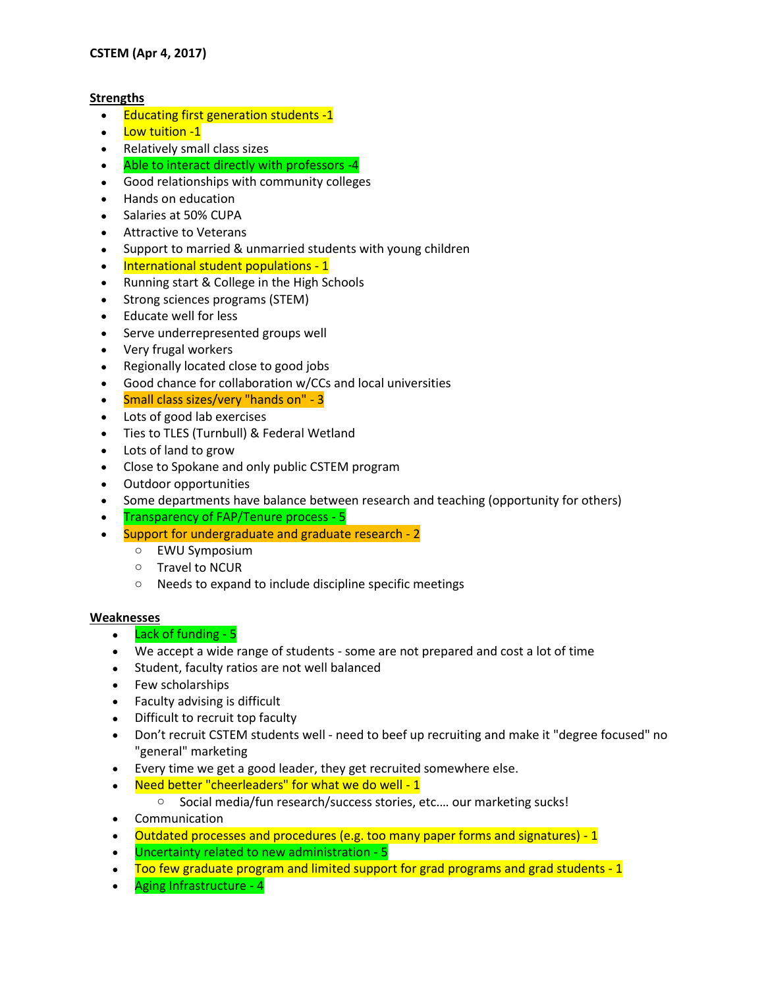## **Strengths**

- Educating first generation students -1
- Low tuition -1
- Relatively small class sizes
- Able to interact directly with professors -4
- Good relationships with community colleges
- Hands on education
- Salaries at 50% CUPA
- Attractive to Veterans
- Support to married & unmarried students with young children
- International student populations 1
- Running start & College in the High Schools
- Strong sciences programs (STEM)
- Educate well for less
- Serve underrepresented groups well
- Very frugal workers
- Regionally located close to good jobs
- Good chance for collaboration w/CCs and local universities
- Small class sizes/very "hands on" 3
- Lots of good lab exercises
- Ties to TLES (Turnbull) & Federal Wetland
- Lots of land to grow
- Close to Spokane and only public CSTEM program
- Outdoor opportunities
- Some departments have balance between research and teaching (opportunity for others)
- Transparency of FAP/Tenure process 5
- Support for undergraduate and graduate research 2
	- o EWU Symposium
	- o Travel to NCUR
	- o Needs to expand to include discipline specific meetings

## **Weaknesses**

- Lack of funding 5
- We accept a wide range of students some are not prepared and cost a lot of time
- Student, faculty ratios are not well balanced
- Few scholarships
- Faculty advising is difficult
- Difficult to recruit top faculty
- Don't recruit CSTEM students well need to beef up recruiting and make it "degree focused" no "general" marketing
- Every time we get a good leader, they get recruited somewhere else.
- Need better "cheerleaders" for what we do well 1
	- o Social media/fun research/success stories, etc.… our marketing sucks!
- Communication
- Outdated processes and procedures (e.g. too many paper forms and signatures) 1
- Uncertainty related to new administration 5
- Too few graduate program and limited support for grad programs and grad students 1
- Aging Infrastructure 4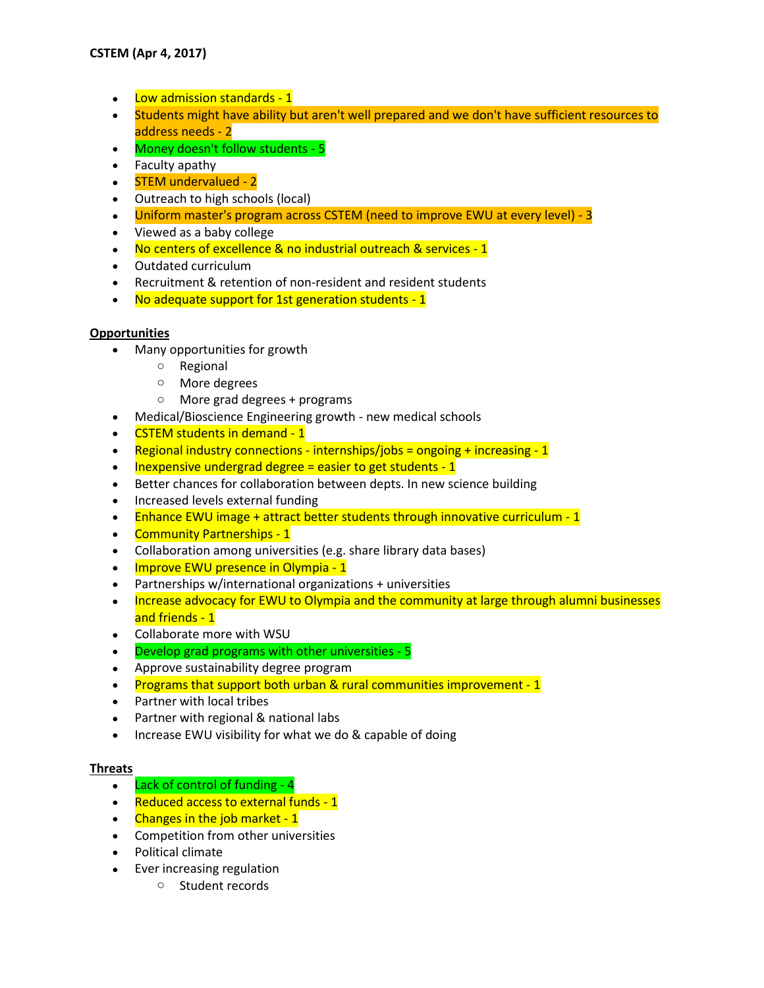- Low admission standards 1
- Students might have ability but aren't well prepared and we don't have sufficient resources to address needs - 2
- Money doesn't follow students 5
- Faculty apathy
- STEM undervalued 2
- Outreach to high schools (local)
- Uniform master's program across CSTEM (need to improve EWU at every level) 3
- Viewed as a baby college
- No centers of excellence & no industrial outreach & services 1
- Outdated curriculum
- Recruitment & retention of non-resident and resident students
- No adequate support for 1st generation students 1

## **Opportunities**

- Many opportunities for growth
	- o Regional
	- o More degrees
	- o More grad degrees + programs
- Medical/Bioscience Engineering growth new medical schools
- CSTEM students in demand 1
- **•** Regional industry connections internships/jobs = ongoing + increasing  $-1$
- Inexpensive undergrad degree = easier to get students 1
- Better chances for collaboration between depts. In new science building
- Increased levels external funding
- Enhance EWU image + attract better students through innovative curriculum 1
- Community Partnerships 1
- Collaboration among universities (e.g. share library data bases)
- Improve EWU presence in Olympia 1
- Partnerships w/international organizations + universities
- Increase advocacy for EWU to Olympia and the community at large through alumni businesses and friends - 1
- Collaborate more with WSU
- Develop grad programs with other universities 5
- Approve sustainability degree program
- Programs that support both urban & rural communities improvement 1
- Partner with local tribes
- Partner with regional & national labs
- Increase EWU visibility for what we do & capable of doing

## **Threats**

- $\bullet$  Lack of control of funding 4
- Reduced access to external funds 1
- Changes in the job market 1
- Competition from other universities
- Political climate
- Ever increasing regulation
	- o Student records